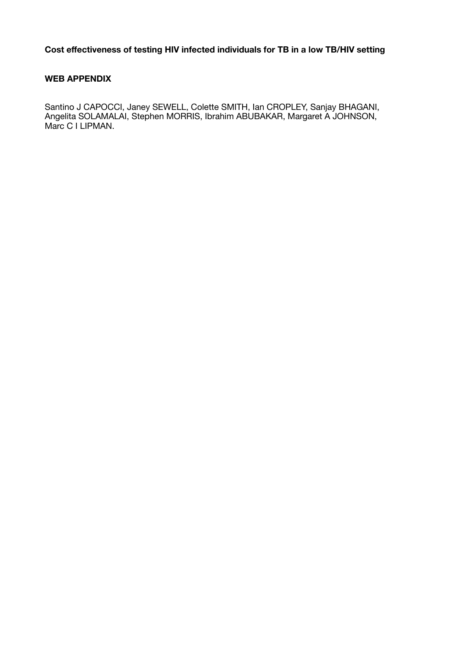#### **WEB APPENDIX**

Santino J CAPOCCI, Janey SEWELL, Colette SMITH, Ian CROPLEY, Sanjay BHAGANI, Angelita SOLAMALAI, Stephen MORRIS, Ibrahim ABUBAKAR, Margaret A JOHNSON, Marc C I LIPMAN.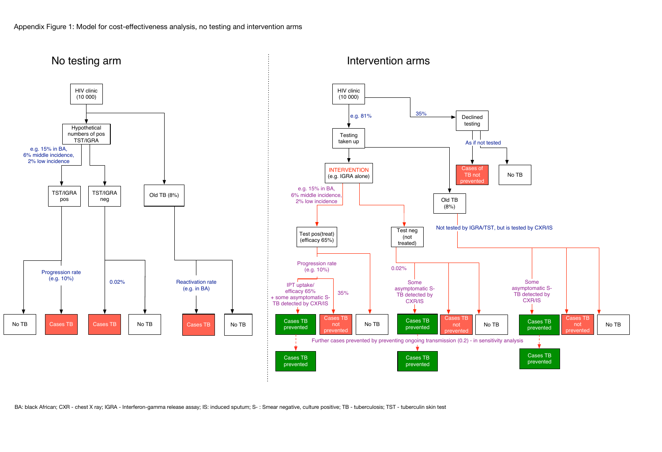

BA: black African; CXR - chest X ray; IGRA - Interferon-gamma release assay; IS: induced sputum; S-: Smear negative, culture positive; TB - tuberculosis; TST - tuberculin skin test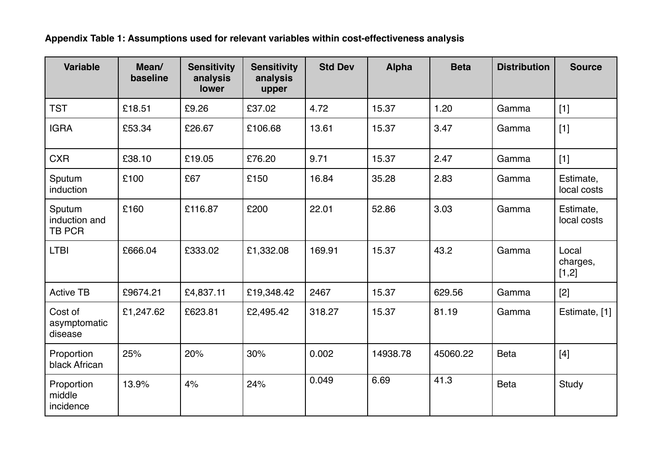**Appendix Table 1: Assumptions used for relevant variables within cost-effectiveness analysis**

| <b>Variable</b>                          | Mean/<br>baseline | <b>Sensitivity</b><br>analysis<br>lower | <b>Sensitivity</b><br>analysis<br>upper | <b>Std Dev</b> | <b>Alpha</b> | <b>Beta</b> | <b>Distribution</b> | <b>Source</b>              |
|------------------------------------------|-------------------|-----------------------------------------|-----------------------------------------|----------------|--------------|-------------|---------------------|----------------------------|
| <b>TST</b>                               | £18.51            | £9.26                                   | £37.02                                  | 4.72           | 15.37        | 1.20        | Gamma               | $[1]$                      |
| <b>IGRA</b>                              | £53.34            | £26.67                                  | £106.68                                 | 13.61          | 15.37        | 3.47        | Gamma               | $[1]$                      |
| <b>CXR</b>                               | £38.10            | £19.05                                  | £76.20                                  | 9.71           | 15.37        | 2.47        | Gamma               | $[1]$                      |
| Sputum<br>induction                      | £100              | £67                                     | £150                                    | 16.84          | 35.28        | 2.83        | Gamma               | Estimate,<br>local costs   |
| Sputum<br>induction and<br><b>TB PCR</b> | £160              | £116.87                                 | £200                                    | 22.01          | 52.86        | 3.03        | Gamma               | Estimate,<br>local costs   |
| <b>LTBI</b>                              | £666.04           | £333.02                                 | £1,332.08                               | 169.91         | 15.37        | 43.2        | Gamma               | Local<br>charges,<br>[1,2] |
| <b>Active TB</b>                         | £9674.21          | £4,837.11                               | £19,348.42                              | 2467           | 15.37        | 629.56      | Gamma               | $[2]$                      |
| Cost of<br>asymptomatic<br>disease       | £1,247.62         | £623.81                                 | £2,495.42                               | 318.27         | 15.37        | 81.19       | Gamma               | Estimate, [1]              |
| Proportion<br>black African              | 25%               | 20%                                     | 30%                                     | 0.002          | 14938.78     | 45060.22    | <b>Beta</b>         | $[4]$                      |
| Proportion<br>middle<br>incidence        | 13.9%             | 4%                                      | 24%                                     | 0.049          | 6.69         | 41.3        | <b>Beta</b>         | Study                      |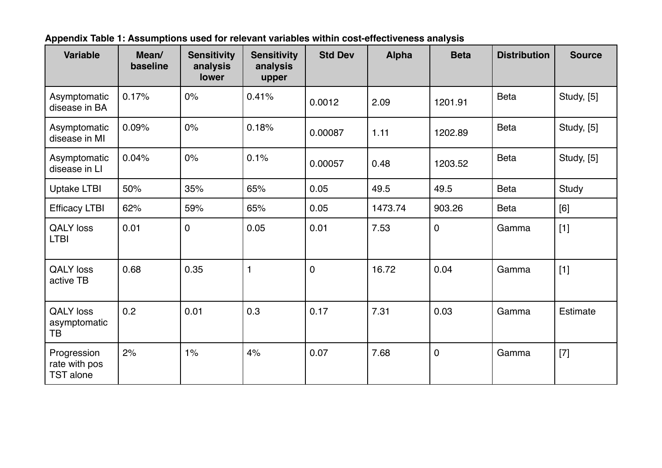| <b>Variable</b>                                  | Mean/<br>baseline | <b>Sensitivity</b><br>analysis<br>lower | <b>Sensitivity</b><br>analysis<br>upper | <b>Std Dev</b> | <b>Alpha</b> | <b>Beta</b> | <b>Distribution</b> | <b>Source</b>     |
|--------------------------------------------------|-------------------|-----------------------------------------|-----------------------------------------|----------------|--------------|-------------|---------------------|-------------------|
| Asymptomatic<br>disease in BA                    | 0.17%             | 0%                                      | 0.41%                                   | 0.0012         | 2.09         | 1201.91     | <b>Beta</b>         | Study, [5]        |
| Asymptomatic<br>disease in MI                    | 0.09%             | 0%                                      | 0.18%                                   | 0.00087        | 1.11         | 1202.89     | <b>Beta</b>         | <b>Study, [5]</b> |
| Asymptomatic<br>disease in LI                    | 0.04%             | 0%                                      | 0.1%                                    | 0.00057        | 0.48         | 1203.52     | <b>Beta</b>         | <b>Study, [5]</b> |
| <b>Uptake LTBI</b>                               | 50%               | 35%                                     | 65%                                     | 0.05           | 49.5         | 49.5        | <b>Beta</b>         | Study             |
| <b>Efficacy LTBI</b>                             | 62%               | 59%                                     | 65%                                     | 0.05           | 1473.74      | 903.26      | Beta                | [6]               |
| <b>QALY</b> loss<br><b>LTBI</b>                  | 0.01              | $\overline{0}$                          | 0.05                                    | 0.01           | 7.53         | $\mathbf 0$ | Gamma               | $[1]$             |
| <b>QALY</b> loss<br>active TB                    | 0.68              | 0.35                                    | $\mathbf{1}$                            | $\mathbf 0$    | 16.72        | 0.04        | Gamma               | $[1]$             |
| <b>QALY</b> loss<br>asymptomatic<br>ТB           | 0.2               | 0.01                                    | 0.3                                     | 0.17           | 7.31         | 0.03        | Gamma               | Estimate          |
| Progression<br>rate with pos<br><b>TST</b> alone | 2%                | $1\%$                                   | 4%                                      | 0.07           | 7.68         | $\mathbf 0$ | Gamma               | $[7]$             |

**Appendix Table 1: Assumptions used for relevant variables within cost-effectiveness analysis**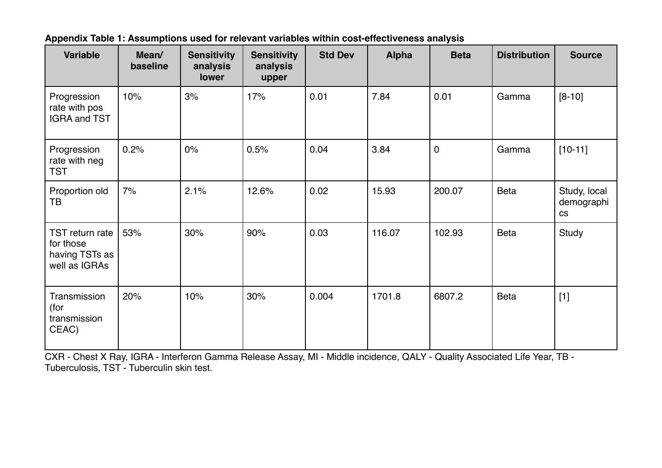| <b>Variable</b>                                                 | Mean/<br>baseline | <b>Sensitivity</b><br>analysis<br>lower | <b>Sensitivity</b><br>analysis<br>upper | <b>Std Dev</b> | <b>Alpha</b> | <b>Beta</b> | <b>Distribution</b> | <b>Source</b>                                      |
|-----------------------------------------------------------------|-------------------|-----------------------------------------|-----------------------------------------|----------------|--------------|-------------|---------------------|----------------------------------------------------|
| Progression<br>rate with pos<br><b>IGRA and TST</b>             | 10%               | 3%                                      | 17%                                     | 0.01           | 7.84         | 0.01        | Gamma               | $[8-10]$                                           |
| Progression<br>rate with neg<br><b>TST</b>                      | 0.2%              | 0%                                      | 0.5%                                    | 0.04           | 3.84         | $\mathbf 0$ | Gamma               | $[10-11]$                                          |
| Proportion old<br>TB                                            | 7%                | 2.1%                                    | 12.6%                                   | 0.02           | 15.93        | 200.07      | <b>Beta</b>         | Study, local<br>demographi<br>$\mathsf{CS}\xspace$ |
| TST return rate<br>for those<br>having TSTs as<br>well as IGRAs | 53%               | 30%                                     | 90%                                     | 0.03           | 116.07       | 102.93      | <b>Beta</b>         | Study                                              |
| Transmission<br>(for<br>transmission<br>CEAC)                   | 20%               | 10%                                     | 30%                                     | 0.004          | 1701.8       | 6807.2      | <b>Beta</b>         | $[1]$                                              |

**Appendix Table 1: Assumptions used for relevant variables within cost-effectiveness analysis**

CXR - Chest X Ray, IGRA - Interferon Gamma Release Assay, MI - Middle incidence, QALY - Quality Associated Life Year, TB - Tuberculosis, TST - Tuberculin skin test.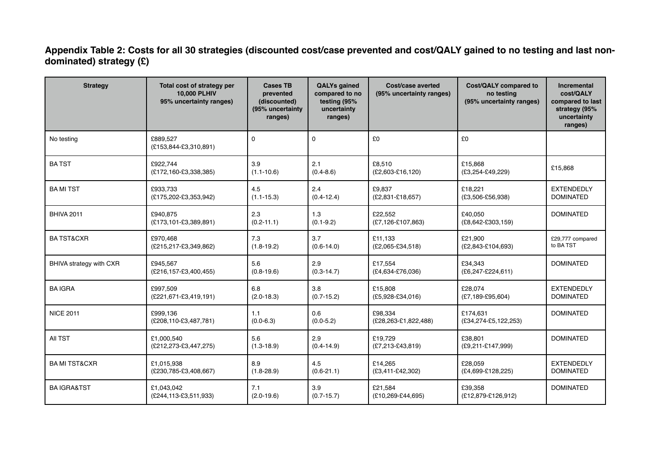**Appendix Table 2: Costs for all 30 strategies (discounted cost/case prevented and cost/QALY gained to no testing and last nondominated) strategy (£)**

| <b>Strategy</b>          | Total cost of strategy per<br>10,000 PLHIV<br>95% uncertainty ranges) | <b>Cases TB</b><br>prevented<br>(discounted)<br>(95% uncertainty<br>ranges) | <b>QALYs gained</b><br>compared to no<br>testing (95%<br>uncertainty<br>ranges) | Cost/case averted<br>(95% uncertainty ranges) | Cost/QALY compared to<br>no testing<br>(95% uncertainty ranges) | Incremental<br>cost/QALY<br>compared to last<br>strategy (95%<br>uncertainty<br>ranges) |
|--------------------------|-----------------------------------------------------------------------|-----------------------------------------------------------------------------|---------------------------------------------------------------------------------|-----------------------------------------------|-----------------------------------------------------------------|-----------------------------------------------------------------------------------------|
| No testing               | £889.527<br>(£153,844-£3,310,891)                                     | $\mathbf 0$                                                                 | $\mathbf 0$                                                                     | £0                                            | £0                                                              |                                                                                         |
| <b>BATST</b>             | £922,744<br>(£172,160-£3,338,385)                                     | 3.9<br>$(1.1 - 10.6)$                                                       | 2.1<br>$(0.4 - 8.6)$                                                            | £8,510<br>$(E2,603 - E16,120)$                | £15,868<br>$(E3, 254 - E49, 229)$                               | £15,868                                                                                 |
| <b>BAMITST</b>           | £933.733<br>(£175,202-£3,353,942)                                     | 4.5<br>$(1.1 - 15.3)$                                                       | 2.4<br>$(0.4 - 12.4)$                                                           | £9.837<br>(£2,831-£18,657)                    | £18.221<br>$(£3,506-£56,938)$                                   | <b>EXTENDEDLY</b><br><b>DOMINATED</b>                                                   |
| <b>BHIVA 2011</b>        | £940,875<br>(£173,101-£3,389,891)                                     | 2.3<br>$(0.2 - 11.1)$                                                       | 1.3<br>$(0.1 - 9.2)$                                                            | £22,552<br>$(E7, 126 - E107, 863)$            | £40,050<br>$(E8, 642 - E303, 159)$                              | <b>DOMINATED</b>                                                                        |
| <b>BATST&amp;CXR</b>     | £970,468<br>(£215,217-£3,349,862)                                     | 7.3<br>$(1.8 - 19.2)$                                                       | 3.7<br>$(0.6 - 14.0)$                                                           | £11,133<br>$(E2,065-E34,518)$                 | £21,900<br>(£2,843-£104,693)                                    | £29,777 compared<br>to BA TST                                                           |
| BHIVA strategy with CXR  | £945.567<br>(£216,157-£3,400,455)                                     | 5.6<br>$(0.8 - 19.6)$                                                       | 2.9<br>$(0.3 - 14.7)$                                                           | £17.554<br>(£4,634-£76,036)                   | £34.343<br>$(E6, 247 - E224, 611)$                              | <b>DOMINATED</b>                                                                        |
| <b>BAIGRA</b>            | £997,509<br>(£221,671-£3,419,191)                                     | 6.8<br>$(2.0 - 18.3)$                                                       | 3.8<br>$(0.7 - 15.2)$                                                           | £15,808<br>$(E5,928-E34,016)$                 | £28,074<br>(£7,189-£95,604)                                     | <b>EXTENDEDLY</b><br><b>DOMINATED</b>                                                   |
| <b>NICE 2011</b>         | £999.136<br>(£208,110-£3,487,781)                                     | 1.1<br>$(0.0 - 6.3)$                                                        | 0.6<br>$(0.0 - 5.2)$                                                            | £98,334<br>(£28,263-£1,822,488)               | £174.631<br>(£34,274-£5,122,253)                                | <b>DOMINATED</b>                                                                        |
| All TST                  | £1,000,540<br>(£212,273-£3,447,275)                                   | 5.6<br>$(1.3 - 18.9)$                                                       | 2.9<br>$(0.4 - 14.9)$                                                           | £19.729<br>$(E7, 213 - E43, 819)$             | £38,801<br>(£9,211-£147,999)                                    | <b>DOMINATED</b>                                                                        |
| <b>BA MI TST&amp;CXR</b> | £1,015,938<br>(£230,785-£3,408,667)                                   | 8.9<br>$(1.8 - 28.9)$                                                       | 4.5<br>$(0.6 - 21.1)$                                                           | £14,265<br>(£3,411-£42,302)                   | £28,059<br>(£4,699-£128,225)                                    | <b>EXTENDEDLY</b><br><b>DOMINATED</b>                                                   |
| <b>BAIGRA&amp;TST</b>    | £1.043.042<br>(£244,113-£3,511,933)                                   | 7.1<br>$(2.0 - 19.6)$                                                       | 3.9<br>$(0.7 - 15.7)$                                                           | £21.584<br>(£10,269-£44,695)                  | £39.358<br>(£12,879-£126,912)                                   | <b>DOMINATED</b>                                                                        |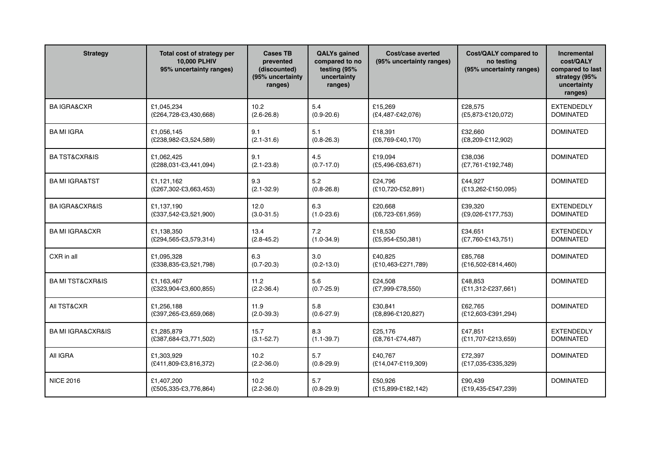| <b>Strategy</b>                  | Total cost of strategy per<br><b>10,000 PLHIV</b><br>95% uncertainty ranges) | <b>Cases TB</b><br>prevented<br>(discounted)<br>(95% uncertainty<br>ranges) | <b>QALYs gained</b><br>compared to no<br>testing (95%<br>uncertainty<br>ranges) | Cost/case averted<br>(95% uncertainty ranges) | Cost/QALY compared to<br>no testing<br>(95% uncertainty ranges) | Incremental<br>cost/QALY<br>compared to last<br>strategy (95%<br>uncertainty<br>ranges) |
|----------------------------------|------------------------------------------------------------------------------|-----------------------------------------------------------------------------|---------------------------------------------------------------------------------|-----------------------------------------------|-----------------------------------------------------------------|-----------------------------------------------------------------------------------------|
| <b>BAIGRA&amp;CXR</b>            | £1,045,234<br>(£264,728-£3,430,668)                                          | 10.2<br>$(2.6 - 26.8)$                                                      | 5.4<br>$(0.9 - 20.6)$                                                           | £15,269<br>$(E4, 487 - E42, 076)$             | £28,575<br>(£5,873-£120,072)                                    | <b>EXTENDEDLY</b><br><b>DOMINATED</b>                                                   |
| <b>BAMI IGRA</b>                 | £1,056,145<br>(£238,982-£3,524,589)                                          | 9.1<br>$(2.1 - 31.6)$                                                       | 5.1<br>$(0.8 - 26.3)$                                                           | £18.391<br>$(E6, 769 - E40, 170)$             | £32,660<br>(£8,209-£112,902)                                    | <b>DOMINATED</b>                                                                        |
| <b>BA TST&amp;CXR&amp;IS</b>     | £1,062,425<br>(£288,031-£3,441,094)                                          | 9.1<br>$(2.1 - 23.8)$                                                       | 4.5<br>$(0.7 - 17.0)$                                                           | £19,094<br>$(£5,496-£63,671)$                 | £38,036<br>(£7,761-£192,748)                                    | <b>DOMINATED</b>                                                                        |
| <b>BA MI IGRA&amp;TST</b>        | £1.121.162<br>(£267,302-£3,663,453)                                          | 9.3<br>$(2.1 - 32.9)$                                                       | 5.2<br>$(0.8 - 26.8)$                                                           | £24.796<br>(£10,720-£52,891)                  | £44.927<br>(£13,262-£150,095)                                   | <b>DOMINATED</b>                                                                        |
| <b>BA IGRA&amp;CXR&amp;IS</b>    | £1.137.190<br>(£337,542-£3,521,900)                                          | 12.0<br>$(3.0 - 31.5)$                                                      | 6.3<br>$(1.0 - 23.6)$                                                           | £20.668<br>$(E6, 723 - E61, 959)$             | £39,320<br>(£9,026-£177,753)                                    | <b>EXTENDEDLY</b><br><b>DOMINATED</b>                                                   |
| <b>BA MI IGRA&amp;CXR</b>        | £1,138,350<br>(£294,565-£3,579,314)                                          | 13.4<br>$(2.8 - 45.2)$                                                      | 7.2<br>$(1.0-34.9)$                                                             | £18,530<br>$(E5, 954 - E50, 381)$             | £34,651<br>(£7,760-£143,751)                                    | <b>EXTENDEDLY</b><br><b>DOMINATED</b>                                                   |
| CXR in all                       | £1.095.328<br>(£338,835-£3,521,798)                                          | 6.3<br>$(0.7 - 20.3)$                                                       | 3.0<br>$(0.2 - 13.0)$                                                           | £40.825<br>(£10,463-£271,789)                 | £85.768<br>$(E16, 502 - E814, 460)$                             | <b>DOMINATED</b>                                                                        |
| <b>BA MI TST&amp;CXR&amp;IS</b>  | £1,163,467<br>(£323,904-£3,600,855)                                          | 11.2<br>$(2.2 - 36.4)$                                                      | 5.6<br>$(0.7 - 25.9)$                                                           | £24,508<br>(£7,999-£78,550)                   | £48,853<br>(£11,312-£237,661)                                   | <b>DOMINATED</b>                                                                        |
| All TST&CXR                      | £1.256.188<br>(£397,265-£3,659,068)                                          | 11.9<br>$(2.0 - 39.3)$                                                      | 5.8<br>$(0.6 - 27.9)$                                                           | £30.841<br>(£8,896-£120,827)                  | £62.765<br>(£12,603-£391,294)                                   | <b>DOMINATED</b>                                                                        |
| <b>BA MI IGRA&amp;CXR&amp;IS</b> | £1.285.879<br>(£387,684-£3,771,502)                                          | 15.7<br>$(3.1 - 52.7)$                                                      | 8.3<br>$(1.1 - 39.7)$                                                           | £25.176<br>(£8,761-£74,487)                   | £47.851<br>(£11,707-£213,659)                                   | <b>EXTENDEDLY</b><br><b>DOMINATED</b>                                                   |
| All IGRA                         | £1.303.929<br>(£411,809-£3,816,372)                                          | 10.2<br>$(2.2 - 36.0)$                                                      | 5.7<br>$(0.8 - 29.9)$                                                           | £40.767<br>(£14,047-£119,309)                 | £72.397<br>(£17,035-£335,329)                                   | <b>DOMINATED</b>                                                                        |
| <b>NICE 2016</b>                 | £1.407.200<br>(£505,335-£3,776,864)                                          | 10.2<br>$(2.2 - 36.0)$                                                      | 5.7<br>$(0.8 - 29.9)$                                                           | £50.926<br>(£15,899-£182,142)                 | £90.439<br>(£19,435-£547,239)                                   | <b>DOMINATED</b>                                                                        |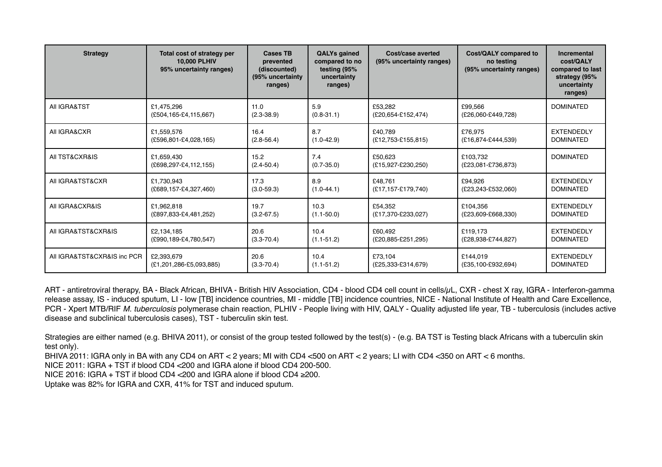| <b>Strategy</b>             | Total cost of strategy per<br><b>10,000 PLHIV</b><br>95% uncertainty ranges) | <b>Cases TB</b><br>prevented<br>(discounted)<br>(95% uncertainty<br>ranges) | <b>QALYs gained</b><br>compared to no<br>testing (95%<br>uncertainty<br>ranges) | Cost/case averted<br>(95% uncertainty ranges) | Cost/QALY compared to<br>no testing<br>(95% uncertainty ranges) | Incremental<br>cost/QALY<br>compared to last<br>strategy (95%<br>uncertainty<br>ranges) |
|-----------------------------|------------------------------------------------------------------------------|-----------------------------------------------------------------------------|---------------------------------------------------------------------------------|-----------------------------------------------|-----------------------------------------------------------------|-----------------------------------------------------------------------------------------|
| All IGRA&TST                | £1.475.296<br>$(E504, 165 - E4, 115, 667)$                                   | 11.0<br>$(2.3 - 38.9)$                                                      | 5.9<br>$(0.8 - 31.1)$                                                           | £53.282<br>(£20,654-£152,474)                 | £99.566<br>(£26,060-£449,728)                                   | <b>DOMINATED</b>                                                                        |
| All IGRA&CXR                | £1,559,576                                                                   | 16.4                                                                        | 8.7                                                                             | £40.789                                       | £76.975                                                         | <b>EXTENDEDLY</b>                                                                       |
|                             | (£596,801-£4,028,165)                                                        | $(2.8 - 56.4)$                                                              | (1.0.42.9)                                                                      | (£12,753-£155,815)                            | (£16,874-£444,539)                                              | <b>DOMINATED</b>                                                                        |
| AII TST&CXR&IS              | £1,659,430<br>(£698,297-£4,112,155)                                          | 15.2<br>$(2.4 - 50.4)$                                                      | 7.4<br>$(0.7 - 35.0)$                                                           | £50,623<br>(£15,927-£230,250)                 | £103,732<br>(£23,081-£736,873)                                  | <b>DOMINATED</b>                                                                        |
| AII IGRA&TST&CXR            | £1,730,943                                                                   | 17.3                                                                        | 8.9                                                                             | £48.761                                       | £94.926                                                         | <b>EXTENDEDLY</b>                                                                       |
|                             | (£689,157-£4,327,460)                                                        | $(3.0 - 59.3)$                                                              | (1.0.44.1)                                                                      | (£17,157-£179,740)                            | (£23,243-£532,060)                                              | <b>DOMINATED</b>                                                                        |
| All IGRA&CXR&IS             | £1,962,818                                                                   | 19.7                                                                        | 10.3                                                                            | £54,352                                       | £104,356                                                        | <b>EXTENDEDLY</b>                                                                       |
|                             | (£897,833-£4,481,252)                                                        | $(3.2 - 67.5)$                                                              | $(1.1 - 50.0)$                                                                  | (£17,370-£233,027)                            | (£23,609-£668,330)                                              | <b>DOMINATED</b>                                                                        |
| All IGRA&TST&CXR&IS         | £2,134,185                                                                   | 20.6                                                                        | 10.4                                                                            | £60,492                                       | £119,173                                                        | <b>EXTENDEDLY</b>                                                                       |
|                             | (£990,189-£4,780,547)                                                        | $(3.3 - 70.4)$                                                              | $(1.1 - 51.2)$                                                                  | (£20,885-£251,295)                            | (£28,938-£744,827)                                              | <b>DOMINATED</b>                                                                        |
| All IGRA&TST&CXR&IS inc PCR | £2,393,679                                                                   | 20.6                                                                        | 10.4                                                                            | £73,104                                       | £144.019                                                        | <b>EXTENDEDLY</b>                                                                       |
|                             | (£1,201,286-£5,093,885)                                                      | $(3.3 - 70.4)$                                                              | (1.1.51.2)                                                                      | (£25,333-£314,679)                            | (£35,100-£932,694)                                              | <b>DOMINATED</b>                                                                        |

ART - antiretroviral therapy, BA - Black African, BHIVA - British HIV Association, CD4 - blood CD4 cell count in cells/µL, CXR - chest X ray, IGRA - Interferon-gamma release assay, IS - induced sputum, LI - low [TB] incidence countries, MI - middle [TB] incidence countries, NICE - National Institute of Health and Care Excellence, PCR - Xpert MTB/RIF *M. tuberculosis* polymerase chain reaction, PLHIV - People living with HIV, QALY - Quality adjusted life year, TB - tuberculosis (includes active disease and subclinical tuberculosis cases), TST - tuberculin skin test.

Strategies are either named (e.g. BHIVA 2011), or consist of the group tested followed by the test(s) - (e.g. BA TST is Testing black Africans with a tuberculin skin test only).

BHIVA 2011: IGRA only in BA with any CD4 on ART < 2 years; MI with CD4 <500 on ART < 2 years; LI with CD4 <350 on ART < 6 months.

NICE 2011: IGRA + TST if blood CD4 <200 and IGRA alone if blood CD4 200-500.

NICE 2016: IGRA + TST if blood CD4 <200 and IGRA alone if blood CD4 ≥200.

Uptake was 82% for IGRA and CXR, 41% for TST and induced sputum.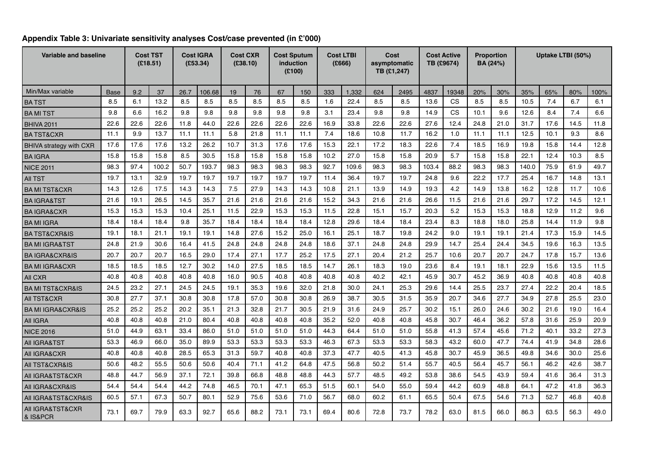| Variable and baseline                   |      |      | <b>Cost TST</b><br>(E18.51) |      | <b>Cost IGRA</b><br>(£53.34) |      | <b>Cost CXR</b><br>(£38.10) |      | <b>Cost Sputum</b><br>induction<br>(E100) |      | <b>Cost LTBI</b><br>(£666) |      | Cost<br>asymptomatic<br>TB (£1,247) |       | <b>Cost Active</b><br>TB (£9674) |      | <b>Proportion</b><br>BA (24%) |       |      | Uptake LTBI (50%) |      |
|-----------------------------------------|------|------|-----------------------------|------|------------------------------|------|-----------------------------|------|-------------------------------------------|------|----------------------------|------|-------------------------------------|-------|----------------------------------|------|-------------------------------|-------|------|-------------------|------|
| Min/Max variable                        | Base | 9.2  | 37                          | 26.7 | 106.68                       | 19   | 76                          | 67   | 150                                       | 333  | 1,332                      | 624  | 2495                                | 4837  | 19348                            | 20%  | 30%                           | 35%   | 65%  | 80%               | 100% |
| <b>BATST</b>                            | 8.5  | 6.1  | 13.2                        | 8.5  | 8.5                          | 8.5  | 8.5                         | 8.5  | 8.5                                       | 1.6  | 22.4                       | 8.5  | 8.5                                 | 13.6  | CS                               | 8.5  | 8.5                           | 10.5  | 7.4  | 6.7               | 6.1  |
| <b>BAMITST</b>                          | 9.8  | 6.6  | 16.2                        | 9.8  | 9.8                          | 9.8  | 9.8                         | 9.8  | 9.8                                       | 3.1  | 23.4                       | 9.8  | 9.8                                 | 14.9  | CS                               | 10.1 | 9.6                           | 12.6  | 8.4  | 7.4               | 6.6  |
| <b>BHIVA 2011</b>                       | 22.6 | 22.6 | 22.6                        | 11.8 | 44.0                         | 22.6 | 22.6                        | 22.6 | 22.6                                      | 16.9 | 33.8                       | 22.6 | 22.6                                | 27.6  | 12.4                             | 24.8 | 21.0                          | 31.7  | 17.6 | 14.5              | 11.8 |
| <b>BATST&amp;CXR</b>                    | 11.1 | 9.9  | 13.7                        | 11.1 | 11.1                         | 5.8  | 21.8                        | 11.1 | 11.1                                      | 7.4  | 18.6                       | 10.8 | 11.7                                | 16.2  | 1.0                              | 11.1 | 11.1                          | 12.5  | 10.1 | 9.3               | 8.6  |
| <b>BHIVA strategy with CXR</b>          | 17.6 | 17.6 | 17.6                        | 13.2 | 26.2                         | 10.7 | 31.3                        | 17.6 | 17.6                                      | 15.3 | 22.1                       | 17.2 | 18.3                                | 22.6  | 7.4                              | 18.5 | 16.9                          | 19.8  | 15.8 | 14.4              | 12.8 |
| <b>BAIGRA</b>                           | 15.8 | 15.8 | 15.8                        | 8.5  | 30.5                         | 15.8 | 15.8                        | 15.8 | 15.8                                      | 10.2 | 27.0                       | 15.8 | 15.8                                | 20.9  | 5.7                              | 15.8 | 15.8                          | 22.1  | 12.4 | 10.3              | 8.5  |
| <b>NICE 2011</b>                        | 98.3 | 97.4 | 100.2                       | 50.7 | 193.7                        | 98.3 | 98.3                        | 98.3 | 98.3                                      | 92.7 | 109.6                      | 98.3 | 98.3                                | 103.4 | 88.2                             | 98.3 | 98.3                          | 140.0 | 75.9 | 61.9              | 49.7 |
| <b>AII TST</b>                          | 19.7 | 13.1 | 32.9                        | 19.7 | 19.7                         | 19.7 | 19.7                        | 19.7 | 19.7                                      | 11.4 | 36.4                       | 19.7 | 19.7                                | 24.8  | 9.6                              | 22.2 | 17.7                          | 25.4  | 16.7 | 14.8              | 13.1 |
| <b>BA MI TST&amp;CXR</b>                | 14.3 | 12.6 | 17.5                        | 14.3 | 14.3                         | 7.5  | 27.9                        | 14.3 | 14.3                                      | 10.8 | 21.1                       | 13.9 | 14.9                                | 19.3  | 4.2                              | 14.9 | 13.8                          | 16.2  | 12.8 | 11.7              | 10.6 |
| <b>BAIGRA&amp;TST</b>                   | 21.6 | 19.1 | 26.5                        | 14.5 | 35.7                         | 21.6 | 21.6                        | 21.6 | 21.6                                      | 15.2 | 34.3                       | 21.6 | 21.6                                | 26.6  | 11.5                             | 21.6 | 21.6                          | 29.7  | 17.2 | 14.5              | 12.1 |
| <b>BAIGRA&amp;CXR</b>                   | 15.3 | 15.3 | 15.3                        | 10.4 | 25.1                         | 11.5 | 22.9                        | 15.3 | 15.3                                      | 11.5 | 22.8                       | 15.1 | 15.7                                | 20.3  | 5.2                              | 15.3 | 15.3                          | 18.8  | 12.9 | 11.2              | 9.6  |
| <b>BAMI IGRA</b>                        | 18.4 | 18.4 | 18.4                        | 9.8  | 35.7                         | 18.4 | 18.4                        | 18.4 | 18.4                                      | 12.8 | 29.6                       | 18.4 | 18.4                                | 23.4  | 8.3                              | 18.8 | 18.0                          | 25.8  | 14.4 | 11.9              | 9.8  |
| <b>BA TST&amp;CXR&amp;IS</b>            | 19.1 | 18.1 | 21.1                        | 19.1 | 19.1                         | 14.8 | 27.6                        | 15.2 | 25.0                                      | 16.1 | 25.1                       | 18.7 | 19.8                                | 24.2  | 9.0                              | 19.1 | 19.1                          | 21.4  | 17.3 | 15.9              | 14.5 |
| <b>BA MI IGRA&amp;TST</b>               | 24.8 | 21.9 | 30.6                        | 16.4 | 41.5                         | 24.8 | 24.8                        | 24.8 | 24.8                                      | 18.6 | 37.1                       | 24.8 | 24.8                                | 29.9  | 14.7                             | 25.4 | 24.4                          | 34.5  | 19.6 | 16.3              | 13.5 |
| <b>BA IGRA&amp;CXR&amp;IS</b>           | 20.7 | 20.7 | 20.7                        | 16.5 | 29.0                         | 17.4 | 27.1                        | 17.7 | 25.2                                      | 17.5 | 27.1                       | 20.4 | 21.2                                | 25.7  | 10.6                             | 20.7 | 20.7                          | 24.7  | 17.8 | 15.7              | 13.6 |
| <b>BA MI IGRA&amp;CXR</b>               | 18.5 | 18.5 | 18.5                        | 12.7 | 30.2                         | 14.0 | 27.5                        | 18.5 | 18.5                                      | 14.7 | 26.1                       | 18.3 | 19.0                                | 23.6  | 8.4                              | 19.1 | 18.1                          | 22.9  | 15.6 | 13.5              | 11.5 |
| All CXR                                 | 40.8 | 40.8 | 40.8                        | 40.8 | 40.8                         | 16.0 | 90.5                        | 40.8 | 40.8                                      | 40.8 | 40.8                       | 40.2 | 42.1                                | 45.9  | 30.7                             | 45.2 | 36.9                          | 40.8  | 40.8 | 40.8              | 40.8 |
| <b>BA MI TST&amp;CXR&amp;IS</b>         | 24.5 | 23.2 | 27.1                        | 24.5 | 24.5                         | 19.1 | 35.3                        | 19.6 | 32.0                                      | 21.8 | 30.0                       | 24.1 | 25.3                                | 29.6  | 14.4                             | 25.5 | 23.7                          | 27.4  | 22.2 | 20.4              | 18.5 |
| <b>AII TST&amp;CXR</b>                  | 30.8 | 27.7 | 37.1                        | 30.8 | 30.8                         | 17.8 | 57.0                        | 30.8 | 30.8                                      | 26.9 | 38.7                       | 30.5 | 31.5                                | 35.9  | 20.7                             | 34.6 | 27.7                          | 34.9  | 27.8 | 25.5              | 23.0 |
| <b>BA MI IGRA&amp;CXR&amp;IS</b>        | 25.2 | 25.2 | 25.2                        | 20.2 | 35.1                         | 21.3 | 32.8                        | 21.7 | 30.5                                      | 21.9 | 31.6                       | 24.9 | 25.7                                | 30.2  | 15.1                             | 26.0 | 24.6                          | 30.2  | 21.6 | 19.0              | 16.4 |
| All IGRA                                | 40.8 | 40.8 | 40.8                        | 21.0 | 80.4                         | 40.8 | 40.8                        | 40.8 | 40.8                                      | 35.2 | 52.0                       | 40.8 | 40.8                                | 45.8  | 30.7                             | 46.4 | 36.2                          | 57.8  | 31.6 | 25.9              | 20.9 |
| <b>NICE 2016</b>                        | 51.0 | 44.9 | 63.1                        | 33.4 | 86.0                         | 51.0 | 51.0                        | 51.0 | 51.0                                      | 44.3 | 64.4                       | 51.0 | 51.0                                | 55.8  | 41.3                             | 57.4 | 45.6                          | 71.2  | 40.1 | 33.2              | 27.3 |
| AII IGRA&TST                            | 53.3 | 46.9 | 66.0                        | 35.0 | 89.9                         | 53.3 | 53.3                        | 53.3 | 53.3                                      | 46.3 | 67.3                       | 53.3 | 53.3                                | 58.3  | 43.2                             | 60.0 | 47.7                          | 74.4  | 41.9 | 34.8              | 28.6 |
| All IGRA&CXR                            | 40.8 | 40.8 | 40.8                        | 28.5 | 65.3                         | 31.3 | 59.7                        | 40.8 | 40.8                                      | 37.3 | 47.7                       | 40.5 | 41.3                                | 45.8  | 30.7                             | 45.9 | 36.5                          | 49.8  | 34.6 | 30.0              | 25.6 |
| AII TST&CXR&IS                          | 50.6 | 48.2 | 55.5                        | 50.6 | 50.6                         | 40.4 | 71.1                        | 41.2 | 64.8                                      | 47.5 | 56.8                       | 50.2 | 51.4                                | 55.7  | 40.5                             | 56.4 | 45.7                          | 56.1  | 46.2 | 42.6              | 38.7 |
| AII IGRA&TST&CXR                        | 48.8 | 44.7 | 56.9                        | 37.1 | 72.1                         | 39.8 | 66.8                        | 48.8 | 48.8                                      | 44.3 | 57.7                       | 48.5 | 49.2                                | 53.8  | 38.6                             | 54.5 | 43.9                          | 59.4  | 41.6 | 36.4              | 31.3 |
| All IGRA&CXR&IS                         | 54.4 | 54.4 | 54.4                        | 44.2 | 74.8                         | 46.5 | 70.1                        | 47.1 | 65.3                                      | 51.5 | 60.1                       | 54.0 | 55.0                                | 59.4  | 44.2                             | 60.9 | 48.8                          | 64.1  | 47.2 | 41.8              | 36.3 |
| All IGRA&TST&CXR&IS                     | 60.5 | 57.1 | 67.3                        | 50.7 | 80.1                         | 52.9 | 75.6                        | 53.6 | 71.0                                      | 56.7 | 68.0                       | 60.2 | 61.1                                | 65.5  | 50.4                             | 67.5 | 54.6                          | 71.3  | 52.7 | 46.8              | 40.8 |
| AII IGRA&TST&CXR<br><b>8 IS&amp;PCR</b> | 73.1 | 69.7 | 79.9                        | 63.3 | 92.7                         | 65.6 | 88.2                        | 73.1 | 73.1                                      | 69.4 | 80.6                       | 72.8 | 73.7                                | 78.2  | 63.0                             | 81.5 | 66.0                          | 86.3  | 63.5 | 56.3              | 49.0 |

# **Appendix Table 3: Univariate sensitivity analyses Cost/case prevented (in £'000)**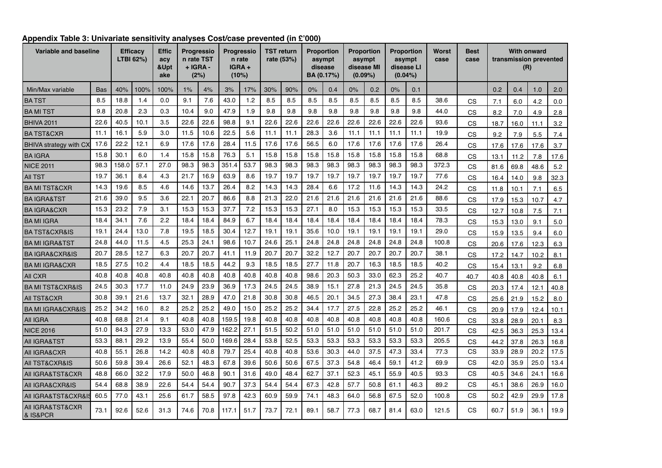| Variable and baseline                       |            |       | <b>Efficacy</b><br>LTBI 62%) | <b>Effic</b><br>acy<br>&Upt<br>ake |      | Progressio<br>n rate TST<br>$+$ $IGRA -$<br>(2%) |       | TST return<br>Progressio<br>rate (53%)<br>n rate<br>IGRA+<br>(10%) |      |      | <b>Proportion</b><br>asympt<br>disease<br>BA (0.17%) |      | <b>Proportion</b><br>asympt<br>disease MI<br>$(0.09\%)$ | $(0.04\%)$ | <b>Proportion</b><br>asympt<br>disease LI | Worst<br>case | Best<br>case |      |      | <b>With onward</b><br>transmission prevented<br>(R) |      |      |
|---------------------------------------------|------------|-------|------------------------------|------------------------------------|------|--------------------------------------------------|-------|--------------------------------------------------------------------|------|------|------------------------------------------------------|------|---------------------------------------------------------|------------|-------------------------------------------|---------------|--------------|------|------|-----------------------------------------------------|------|------|
| Min/Max variable                            | <b>Bas</b> | 40%   | 100%                         | 100%                               | 1%   | 4%                                               | 3%    | 17%                                                                | 30%  | 90%  | 0%                                                   | 0.4  | 0%                                                      | 0.2        | 0%                                        | 0.1           |              |      | 0.2  | 0.4                                                 | 1.0  | 2.0  |
| <b>BATST</b>                                | 8.5        | 18.8  | 1.4                          | 0.0                                | 9.1  | 7.6                                              | 43.0  | 1.2                                                                | 8.5  | 8.5  | 8.5                                                  | 8.5  | 8.5                                                     | 8.5        | 8.5                                       | 8.5           | 38.6         | CS   | 7.1  | 6.0                                                 | 4.2  | 0.0  |
| <b>BAMITST</b>                              | 9.8        | 20.8  | 2.3                          | 0.3                                | 10.4 | 9.0                                              | 47.9  | 1.9                                                                | 9.8  | 9.8  | 9.8                                                  | 9.8  | 9.8                                                     | 9.8        | 9.8                                       | 9.8           | 44.0         | CS   | 8.2  | 7.0                                                 | 4.9  | 2.8  |
| <b>BHIVA 2011</b>                           | 22.6       | 40.5  | 10.1                         | 3.5                                | 22.6 | 22.6                                             | 98.8  | 9.1                                                                | 22.6 | 22.6 | 22.6                                                 | 22.6 | 22.6                                                    | 22.6       | 22.6                                      | 22.6          | 93.6         | CS   | 18.7 | 16.0                                                | 11.1 | 3.2  |
| <b>BA TST&amp;CXR</b>                       | 11.1       | 16.1  | 5.9                          | 3.0                                | 11.5 | 10.6                                             | 22.5  | 5.6                                                                | 11.1 | 11.1 | 28.3                                                 | 3.6  | 11.1                                                    | 11.1       | 11.1                                      | 11.1          | 19.9         | CS   | 9.2  | 7.9                                                 | 5.5  | 7.4  |
| <b>BHIVA strategy with CX</b>               | 17.6       | 22.2  | 12.1                         | 6.9                                | 17.6 | 17.6                                             | 28.4  | 11.5                                                               | 17.6 | 17.6 | 56.5                                                 | 6.0  | 17.6                                                    | 17.6       | 17.6                                      | 17.6          | 26.4         | CS   | 17.6 | 17.6                                                | 17.6 | 3.7  |
| <b>BAIGRA</b>                               | 15.8       | 30.1  | 6.0                          | 1.4                                | 15.8 | 15.8                                             | 76.3  | 5.1                                                                | 15.8 | 15.8 | 15.8                                                 | 15.8 | 15.8                                                    | 15.8       | 15.8                                      | 15.8          | 68.8         | CS   | 13.1 | 11.2                                                | 7.8  | 17.6 |
| <b>NICE 2011</b>                            | 98.3       | 158.0 | 57.1                         | 27.0                               | 98.3 | 98.3                                             | 351.4 | 53.7                                                               | 98.3 | 98.3 | 98.3                                                 | 98.3 | 98.3                                                    | 98.3       | 98.3                                      | 98.3          | 372.3        | CS   | 81.6 | 69.8                                                | 48.6 | 5.2  |
| <b>AII TST</b>                              | 19.7       | 36.1  | 8.4                          | 4.3                                | 21.7 | 16.9                                             | 63.9  | 8.6                                                                | 19.7 | 19.7 | 19.7                                                 | 19.7 | 19.7                                                    | 19.7       | 19.7                                      | 19.7          | 77.6         | CS   | 16.4 | 14.0                                                | 9.8  | 32.3 |
| <b>BA MI TST&amp;CXR</b>                    | 14.3       | 19.6  | 8.5                          | 4.6                                | 14.6 | 13.7                                             | 26.4  | 8.2                                                                | 14.3 | 14.3 | 28.4                                                 | 6.6  | 17.2                                                    | 11.6       | 14.3                                      | 14.3          | 24.2         | CS   | 11.8 | 10.1                                                | 7.1  | 6.5  |
| <b>BAIGRA&amp;TST</b>                       | 21.6       | 39.0  | 9.5                          | 3.6                                | 22.1 | 20.7                                             | 86.6  | 8.8                                                                | 21.3 | 22.0 | 21.6                                                 | 21.6 | 21.6                                                    | 21.6       | 21.6                                      | 21.6          | 88.6         | CS   | 17.9 | 15.3                                                | 10.7 | 4.7  |
| <b>BA IGRA&amp;CXR</b>                      | 15.3       | 23.2  | 7.9                          | 3.1                                | 15.3 | 15.3                                             | 37.7  | 7.2                                                                | 15.3 | 15.3 | 27.1                                                 | 8.0  | 15.3                                                    | 15.3       | 15.3                                      | 15.3          | 33.5         | CS   | 12.7 | 10.8                                                | 7.5  | 7.1  |
| <b>BAMI IGRA</b>                            | 18.4       | 34.1  | 7.6                          | 2.2                                | 18.4 | 18.4                                             | 84.9  | 6.7                                                                | 18.4 | 18.4 | 18.4                                                 | 18.4 | 18.4                                                    | 18.4       | 18.4                                      | 18.4          | 78.3         | CS   | 15.3 | 13.0                                                | 9.1  | 5.0  |
| <b>BA TST&amp;CXR&amp;IS</b>                | 19.1       | 24.4  | 13.0                         | 7.8                                | 19.5 | 18.5                                             | 30.4  | 12.7                                                               | 19.1 | 19.1 | 35.6                                                 | 10.0 | 19.1                                                    | 19.1       | 19.1                                      | 19.1          | 29.0         | CS   | 15.9 | 13.5                                                | 9.4  | 6.0  |
| <b>BA MI IGRA&amp;TST</b>                   | 24.8       | 44.0  | 11.5                         | 4.5                                | 25.3 | 24.1                                             | 98.6  | 10.7                                                               | 24.6 | 25.1 | 24.8                                                 | 24.8 | 24.8                                                    | 24.8       | 24.8                                      | 24.8          | 100.8        | CS   | 20.6 | 17.6                                                | 12.3 | 6.3  |
| <b>BAIGRA&amp;CXR&amp;IS</b>                | 20.7       | 28.5  | 12.7                         | 6.3                                | 20.7 | 20.7                                             | 41.1  | 11.9                                                               | 20.7 | 20.7 | 32.2                                                 | 12.7 | 20.7                                                    | 20.7       | 20.7                                      | 20.7          | 38.1         | CS   | 17.2 | 14.7                                                | 10.2 | 8.1  |
| <b>BA MI IGRA&amp;CXR</b>                   | 18.5       | 27.5  | 10.2                         | 4.4                                | 18.5 | 18.5                                             | 44.2  | 9.3                                                                | 18.5 | 18.5 | 27.7                                                 | 11.8 | 20.7                                                    | 16.3       | 18.5                                      | 18.5          | 40.2         | CS   | 15.4 | 13.1                                                | 9.2  | 6.8  |
| All CXR                                     | 40.8       | 40.8  | 40.8                         | 40.8                               | 40.8 | 40.8                                             | 40.8  | 40.8                                                               | 40.8 | 40.8 | 98.6                                                 | 20.3 | 50.3                                                    | 33.0       | 62.3                                      | 25.2          | 40.7         | 40.7 | 40.8 | 40.8                                                | 40.8 | 6.1  |
| <b>BA MI TST&amp;CXR&amp;IS</b>             | 24.5       | 30.3  | 17.7                         | 11.0                               | 24.9 | 23.9                                             | 36.9  | 17.3                                                               | 24.5 | 24.5 | 38.9                                                 | 15.1 | 27.8                                                    | 21.3       | 24.5                                      | 24.5          | 35.8         | CS   | 20.3 | 17.4                                                | 12.1 | 40.8 |
| <b>AII TST&amp;CXR</b>                      | 30.8       | 39.1  | 21.6                         | 13.7                               | 32.1 | 28.9                                             | 47.0  | 21.8                                                               | 30.8 | 30.8 | 46.5                                                 | 20.1 | 34.5                                                    | 27.3       | 38.4                                      | 23.1          | 47.8         | CS   | 25.6 | 21.9                                                | 15.2 | 8.0  |
| <b>BA MI IGRA&amp;CXR&amp;IS</b>            | 25.2       | 34.2  | 16.0                         | 8.2                                | 25.2 | 25.2                                             | 49.0  | 15.0                                                               | 25.2 | 25.2 | 34.4                                                 | 17.7 | 27.5                                                    | 22.8       | 25.2                                      | 25.2          | 46.1         | СS   | 20.9 | 17.9                                                | 12.4 | 10.1 |
| All IGRA                                    | 40.8       | 68.8  | 21.4                         | 9.1                                | 40.8 | 40.8                                             | 159.5 | 19.8                                                               | 40.8 | 40.8 | 40.8                                                 | 40.8 | 40.8                                                    | 40.8       | 40.8                                      | 40.8          | 160.6        | CS   | 33.8 | 28.9                                                | 20.1 | 8.3  |
| <b>NICE 2016</b>                            | 51.0       | 84.3  | 27.9                         | 13.3                               | 53.0 | 47.9                                             | 162.2 | 27.1                                                               | 51.5 | 50.2 | 51.0                                                 | 51.0 | 51.0                                                    | 51.0       | 51.0                                      | 51.0          | 201.7        | CS   | 42.5 | 36.3                                                | 25.3 | 13.4 |
| <b>AII IGRA&amp;TST</b>                     | 53.3       | 88.1  | 29.2                         | 13.9                               | 55.4 | 50.0                                             | 169.6 | 28.4                                                               | 53.8 | 52.5 | 53.3                                                 | 53.3 | 53.3                                                    | 53.3       | 53.3                                      | 53.3          | 205.5        | CS   | 44.2 | 37.8                                                | 26.3 | 16.8 |
| All IGRA&CXR                                | 40.8       | 55.1  | 26.8                         | 14.2                               | 40.8 | 40.8                                             | 79.7  | 25.4                                                               | 40.8 | 40.8 | 53.6                                                 | 30.3 | 44.0                                                    | 37.5       | 47.3                                      | 33.4          | 77.3         | CS   | 33.9 | 28.9                                                | 20.2 | 17.5 |
| AII TST&CXR&IS                              | 50.6       | 59.8  | 39.4                         | 26.6                               | 52.1 | 48.3                                             | 67.8  | 39.6                                                               | 50.6 | 50.6 | 67.5                                                 | 37.3 | 54.8                                                    | 46.4       | 59.1                                      | 41.2          | 69.9         | CS   | 42.0 | 35.9                                                | 25.0 | 13.4 |
| All IGRA&TST&CXR                            | 48.8       | 66.0  | 32.2                         | 17.9                               | 50.0 | 46.8                                             | 90.1  | 31.6                                                               | 49.0 | 48.4 | 62.7                                                 | 37.1 | 52.3                                                    | 45.1       | 55.9                                      | 40.5          | 93.3         | CS   | 40.5 | 34.6                                                | 24.1 | 16.6 |
| All IGRA&CXR&IS                             | 54.4       | 68.8  | 38.9                         | 22.6                               | 54.4 | 54.4                                             | 90.7  | 37.3                                                               | 54.4 | 54.4 | 67.3                                                 | 42.8 | 57.7                                                    | 50.8       | 61.1                                      | 46.3          | 89.2         | CS   | 45.1 | 38.6                                                | 26.9 | 16.0 |
| AII IGRA&TST&CXR&IS                         | 60.5       | 77.0  | 43.1                         | 25.6                               | 61.7 | 58.5                                             | 97.8  | 42.3                                                               | 60.9 | 59.9 | 74.1                                                 | 48.3 | 64.0                                                    | 56.8       | 67.5                                      | 52.0          | 100.8        | CS   | 50.2 | 42.9                                                | 29.9 | 17.8 |
| All IGRA&TST&CXR<br><b>&amp; IS&amp;PCR</b> | 73.1       | 92.6  | 52.6                         | 31.3                               | 74.6 | 70.8                                             | 117.1 | 51.7                                                               | 73.7 | 72.1 | 89.1                                                 | 58.7 | 77.3                                                    | 68.7       | 81.4                                      | 63.0          | 121.5        | CS   | 60.7 | 51.9                                                | 36.1 | 19.9 |

### **Appendix Table 3: Univariate sensitivity analyses Cost/case prevented (in £'000)**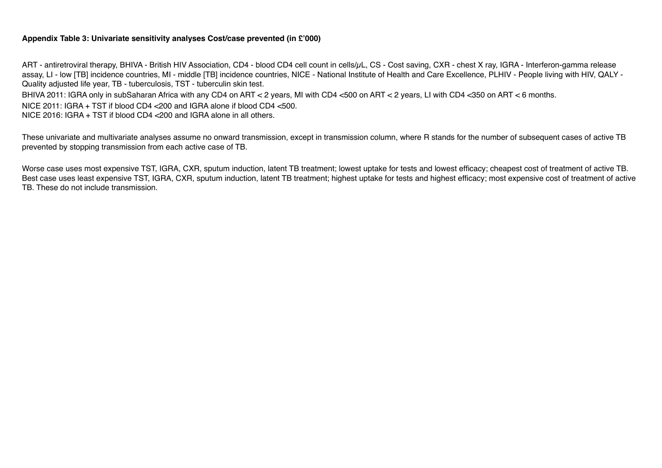### **Appendix Table 3: Univariate sensitivity analyses Cost/case prevented (in £'000)**

ART - antiretroviral therapy, BHIVA - British HIV Association, CD4 - blood CD4 cell count in cells/µL, CS - Cost saving, CXR - chest X ray, IGRA - Interferon-gamma release assay, LI - low [TB] incidence countries, MI - middle [TB] incidence countries, NICE - National Institute of Health and Care Excellence, PLHIV - People living with HIV, QALY - Quality adjusted life year, TB - tuberculosis, TST - tuberculin skin test.

BHIVA 2011: IGRA only in subSaharan Africa with any CD4 on ART < 2 years, MI with CD4 <500 on ART < 2 years, LI with CD4 <350 on ART < 6 months.

NICE 2011: IGRA + TST if blood CD4 <200 and IGRA alone if blood CD4 <500.

NICE 2016: IGRA + TST if blood CD4 <200 and IGRA alone in all others.

These univariate and multivariate analyses assume no onward transmission, except in transmission column, where R stands for the number of subsequent cases of active TB prevented by stopping transmission from each active case of TB.

Worse case uses most expensive TST, IGRA, CXR, sputum induction, latent TB treatment; lowest uptake for tests and lowest efficacy; cheapest cost of treatment of active TB. Best case uses least expensive TST, IGRA, CXR, sputum induction, latent TB treatment; highest uptake for tests and highest efficacy; most expensive cost of treatment of active TB. These do not include transmission.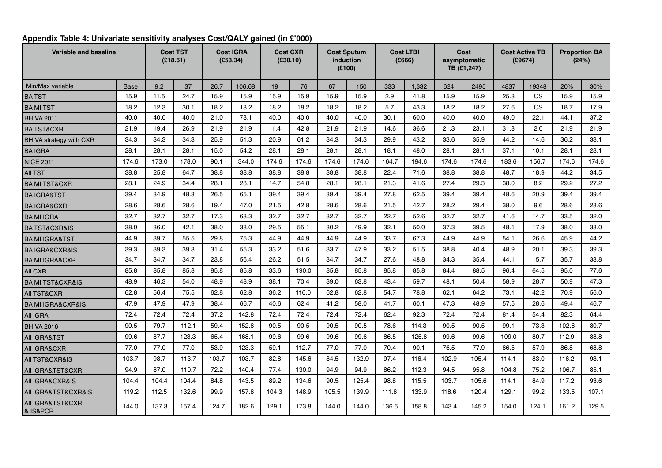| Variable and baseline            |             |       | <b>Cost TST</b><br>(E18.51) | (£53.34) | <b>Cost IGRA</b> |       | <b>Cost CXR</b><br>(E38.10) |       | <b>Cost Sputum</b><br>induction<br>(E100) |       | <b>Cost LTBI</b><br>(£666) |       | Cost<br>asymptomatic<br>TB (£1,247) | <b>Cost Active TB</b> | (£9674)   |       | <b>Proportion BA</b><br>(24%) |
|----------------------------------|-------------|-------|-----------------------------|----------|------------------|-------|-----------------------------|-------|-------------------------------------------|-------|----------------------------|-------|-------------------------------------|-----------------------|-----------|-------|-------------------------------|
| Min/Max variable                 | <b>Base</b> | 9.2   | 37                          | 26.7     | 106.68           | 19    | 76                          | 67    | 150                                       | 333   | 1,332                      | 624   | 2495                                | 4837                  | 19348     | 20%   | 30%                           |
| <b>BATST</b>                     | 15.9        | 11.5  | 24.7                        | 15.9     | 15.9             | 15.9  | 15.9                        | 15.9  | 15.9                                      | 2.9   | 41.8                       | 15.9  | 15.9                                | 25.3                  | <b>CS</b> | 15.9  | 15.9                          |
| <b>BAMITST</b>                   | 18.2        | 12.3  | 30.1                        | 18.2     | 18.2             | 18.2  | 18.2                        | 18.2  | 18.2                                      | 5.7   | 43.3                       | 18.2  | 18.2                                | 27.6                  | <b>CS</b> | 18.7  | 17.9                          |
| <b>BHIVA 2011</b>                | 40.0        | 40.0  | 40.0                        | 21.0     | 78.1             | 40.0  | 40.0                        | 40.0  | 40.0                                      | 30.1  | 60.0                       | 40.0  | 40.0                                | 49.0                  | 22.1      | 44.1  | 37.2                          |
| <b>BATST&amp;CXR</b>             | 21.9        | 19.4  | 26.9                        | 21.9     | 21.9             | 11.4  | 42.8                        | 21.9  | 21.9                                      | 14.6  | 36.6                       | 21.3  | 23.1                                | 31.8                  | 2.0       | 21.9  | 21.9                          |
| <b>BHIVA strategy with CXR</b>   | 34.3        | 34.3  | 34.3                        | 25.9     | 51.3             | 20.9  | 61.2                        | 34.3  | 34.3                                      | 29.9  | 43.2                       | 33.6  | 35.9                                | 44.2                  | 14.6      | 36.2  | 33.1                          |
| <b>BAIGRA</b>                    | 28.1        | 28.1  | 28.1                        | 15.0     | 54.2             | 28.1  | 28.1                        | 28.1  | 28.1                                      | 18.1  | 48.0                       | 28.1  | 28.1                                | 37.1                  | 10.1      | 28.1  | 28.1                          |
| <b>NICE 2011</b>                 | 174.6       | 173.0 | 178.0                       | 90.1     | 344.0            | 174.6 | 174.6                       | 174.6 | 174.6                                     | 164.7 | 194.6                      | 174.6 | 174.6                               | 183.6                 | 156.7     | 174.6 | 174.6                         |
| <b>AII TST</b>                   | 38.8        | 25.8  | 64.7                        | 38.8     | 38.8             | 38.8  | 38.8                        | 38.8  | 38.8                                      | 22.4  | 71.6                       | 38.8  | 38.8                                | 48.7                  | 18.9      | 44.2  | 34.5                          |
| <b>BAMITST&amp;CXR</b>           | 28.1        | 24.9  | 34.4                        | 28.1     | 28.1             | 14.7  | 54.8                        | 28.1  | 28.1                                      | 21.3  | 41.6                       | 27.4  | 29.3                                | 38.0                  | 8.2       | 29.2  | 27.2                          |
| <b>BAIGRA&amp;TST</b>            | 39.4        | 34.9  | 48.3                        | 26.5     | 65.1             | 39.4  | 39.4                        | 39.4  | 39.4                                      | 27.8  | 62.5                       | 39.4  | 39.4                                | 48.6                  | 20.9      | 39.4  | 39.4                          |
| <b>BAIGRA&amp;CXR</b>            | 28.6        | 28.6  | 28.6                        | 19.4     | 47.0             | 21.5  | 42.8                        | 28.6  | 28.6                                      | 21.5  | 42.7                       | 28.2  | 29.4                                | 38.0                  | 9.6       | 28.6  | 28.6                          |
| <b>BAMI IGRA</b>                 | 32.7        | 32.7  | 32.7                        | 17.3     | 63.3             | 32.7  | 32.7                        | 32.7  | 32.7                                      | 22.7  | 52.6                       | 32.7  | 32.7                                | 41.6                  | 14.7      | 33.5  | 32.0                          |
| <b>BA TST&amp;CXR&amp;IS</b>     | 38.0        | 36.0  | 42.1                        | 38.0     | 38.0             | 29.5  | 55.1                        | 30.2  | 49.9                                      | 32.1  | 50.0                       | 37.3  | 39.5                                | 48.1                  | 17.9      | 38.0  | 38.0                          |
| <b>BA MI IGRA&amp;TST</b>        | 44.9        | 39.7  | 55.5                        | 29.8     | 75.3             | 44.9  | 44.9                        | 44.9  | 44.9                                      | 33.7  | 67.3                       | 44.9  | 44.9                                | 54.1                  | 26.6      | 45.9  | 44.2                          |
| <b>BAIGRA&amp;CXR&amp;IS</b>     | 39.3        | 39.3  | 39.3                        | 31.4     | 55.3             | 33.2  | 51.6                        | 33.7  | 47.9                                      | 33.2  | 51.5                       | 38.8  | 40.4                                | 48.9                  | 20.1      | 39.3  | 39.3                          |
| <b>BA MI IGRA&amp;CXR</b>        | 34.7        | 34.7  | 34.7                        | 23.8     | 56.4             | 26.2  | 51.5                        | 34.7  | 34.7                                      | 27.6  | 48.8                       | 34.3  | 35.4                                | 44.1                  | 15.7      | 35.7  | 33.8                          |
| All CXR                          | 85.8        | 85.8  | 85.8                        | 85.8     | 85.8             | 33.6  | 190.0                       | 85.8  | 85.8                                      | 85.8  | 85.8                       | 84.4  | 88.5                                | 96.4                  | 64.5      | 95.0  | 77.6                          |
| <b>BA MI TST&amp;CXR&amp;IS</b>  | 48.9        | 46.3  | 54.0                        | 48.9     | 48.9             | 38.1  | 70.4                        | 39.0  | 63.8                                      | 43.4  | 59.7                       | 48.1  | 50.4                                | 58.9                  | 28.7      | 50.9  | 47.3                          |
| <b>AII TST&amp;CXR</b>           | 62.8        | 56.4  | 75.5                        | 62.8     | 62.8             | 36.2  | 116.0                       | 62.8  | 62.8                                      | 54.7  | 78.8                       | 62.1  | 64.2                                | 73.1                  | 42.2      | 70.9  | 56.0                          |
| <b>BA MI IGRA&amp;CXR&amp;IS</b> | 47.9        | 47.9  | 47.9                        | 38.4     | 66.7             | 40.6  | 62.4                        | 41.2  | 58.0                                      | 41.7  | 60.1                       | 47.3  | 48.9                                | 57.5                  | 28.6      | 49.4  | 46.7                          |
| All IGRA                         | 72.4        | 72.4  | 72.4                        | 37.2     | 142.8            | 72.4  | 72.4                        | 72.4  | 72.4                                      | 62.4  | 92.3                       | 72.4  | 72.4                                | 81.4                  | 54.4      | 82.3  | 64.4                          |
| <b>BHIVA 2016</b>                | 90.5        | 79.7  | 112.1                       | 59.4     | 152.8            | 90.5  | 90.5                        | 90.5  | 90.5                                      | 78.6  | 114.3                      | 90.5  | 90.5                                | 99.1                  | 73.3      | 102.6 | 80.7                          |
| AII IGRA&TST                     | 99.6        | 87.7  | 123.3                       | 65.4     | 168.1            | 99.6  | 99.6                        | 99.6  | 99.6                                      | 86.5  | 125.8                      | 99.6  | 99.6                                | 109.0                 | 80.7      | 112.9 | 88.8                          |
| All IGRA&CXR                     | 77.0        | 77.0  | 77.0                        | 53.9     | 123.3            | 59.1  | 112.7                       | 77.0  | 77.0                                      | 70.4  | 90.1                       | 76.5  | 77.9                                | 86.5                  | 57.9      | 86.8  | 68.8                          |
| AII TST&CXR&IS                   | 103.7       | 98.7  | 113.7                       | 103.7    | 103.7            | 82.8  | 145.6                       | 84.5  | 132.9                                     | 97.4  | 116.4                      | 102.9 | 105.4                               | 114.1                 | 83.0      | 116.2 | 93.1                          |
| AII IGRA&TST&CXR                 | 94.9        | 87.0  | 110.7                       | 72.2     | 140.4            | 77.4  | 130.0                       | 94.9  | 94.9                                      | 86.2  | 112.3                      | 94.5  | 95.8                                | 104.8                 | 75.2      | 106.7 | 85.1                          |
| All IGRA&CXR&IS                  | 104.4       | 104.4 | 104.4                       | 84.8     | 143.5            | 89.2  | 134.6                       | 90.5  | 125.4                                     | 98.8  | 115.5                      | 103.7 | 105.6                               | 114.1                 | 84.9      | 117.2 | 93.6                          |
| All IGRA&TST&CXR&IS              | 119.2       | 112.5 | 132.6                       | 99.9     | 157.8            | 104.3 | 148.9                       | 105.5 | 139.9                                     | 111.8 | 133.9                      | 118.6 | 120.4                               | 129.1                 | 99.2      | 133.5 | 107.1                         |
| AII IGRA&TST&CXR<br>& IS&PCR     | 144.0       | 137.3 | 157.4                       | 124.7    | 182.6            | 129.1 | 173.8                       | 144.0 | 144.0                                     | 136.6 | 158.8                      | 143.4 | 145.2                               | 154.0                 | 124.1     | 161.2 | 129.5                         |

# **Appendix Table 4: Univariate sensitivity analyses Cost/QALY gained (in £'000)**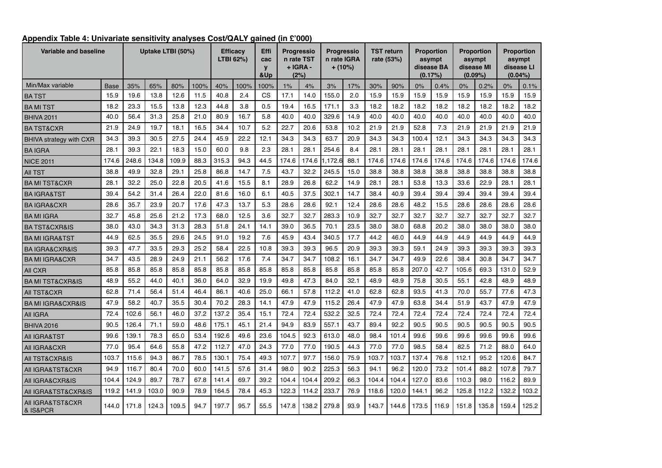| Variable and baseline                       |             |       | Uptake LTBI (50%) |       |      |       | <b>Efficacy</b><br>LTBI 62%) | Effi<br>cac<br>$\mathbf{v}$<br>&Up |       | <b>Progressio</b><br>n rate TST<br>+ IGRA -<br>(2%) | <b>Progressio</b> | n rate IGRA<br>$+ (10\%)$ |       | <b>TST return</b><br>rate (53%) | (0.17%) | <b>Proportion</b><br>asympt<br>disease BA |       | <b>Proportion</b><br>asympt<br>disease MI<br>(0.09%) | $(0.04\%)$ | Proportion<br>asympt<br>disease Ll |
|---------------------------------------------|-------------|-------|-------------------|-------|------|-------|------------------------------|------------------------------------|-------|-----------------------------------------------------|-------------------|---------------------------|-------|---------------------------------|---------|-------------------------------------------|-------|------------------------------------------------------|------------|------------------------------------|
| Min/Max variable                            | <b>Base</b> | 35%   | 65%               | 80%   | 100% | 40%   | 100%                         | 100%                               | 1%    | 4%                                                  | 3%                | 17%                       | 30%   | 90%                             | 0%      | 0.4%                                      | 0%    | 0.2%                                                 | 0%         | 0.1%                               |
| <b>BATST</b>                                | 15.9        | 19.6  | 13.8              | 12.6  | 11.5 | 40.8  | 2.4                          | CS                                 | 17.1  | 14.0                                                | 155.0             | 2.0                       | 15.9  | 15.9                            | 15.9    | 15.9                                      | 15.9  | 15.9                                                 | 15.9       | 15.9                               |
| <b>BA MI TST</b>                            | 18.2        | 23.3  | 15.5              | 13.8  | 12.3 | 44.8  | 3.8                          | 0.5                                | 19.4  | 16.5                                                | 171.1             | 3.3                       | 18.2  | 18.2                            | 18.2    | 18.2                                      | 18.2  | 18.2                                                 | 18.2       | 18.2                               |
| <b>BHIVA 2011</b>                           | 40.0        | 56.4  | 31.3              | 25.8  | 21.0 | 80.9  | 16.7                         | 5.8                                | 40.0  | 40.0                                                | 329.6             | 14.9                      | 40.0  | 40.0                            | 40.0    | 40.0                                      | 40.0  | 40.0                                                 | 40.0       | 40.0                               |
| <b>BATST&amp;CXR</b>                        | 21.9        | 24.9  | 19.7              | 18.1  | 16.5 | 34.4  | 10.7                         | 5.2                                | 22.7  | 20.6                                                | 53.8              | 10.2                      | 21.9  | 21.9                            | 52.8    | 7.3                                       | 21.9  | 21.9                                                 | 21.9       | 21.9                               |
| BHIVA strategy with CXR                     | 34.3        | 39.3  | 30.5              | 27.5  | 24.4 | 45.9  | 22.2                         | 12.1                               | 34.3  | 34.3                                                | 63.7              | 20.9                      | 34.3  | 34.3                            | 100.4   | 12.1                                      | 34.3  | 34.3                                                 | 34.3       | 34.3                               |
| <b>BAIGRA</b>                               | 28.1        | 39.3  | 22.1              | 18.3  | 15.0 | 60.0  | 9.8                          | 2.3                                | 28.1  | 28.1                                                | 254.6             | 8.4                       | 28.1  | 28.1                            | 28.1    | 28.1                                      | 28.1  | 28.1                                                 | 28.1       | 28.1                               |
| <b>NICE 2011</b>                            | 174.6       | 248.6 | 134.8             | 109.9 | 88.3 | 315.3 | 94.3                         | 44.5                               | 174.6 | 174.6                                               | .172.6            | 88.1                      | 174.6 | 174.6                           | 174.6   | 174.6                                     | 174.6 | 174.6                                                | 174.6      | 174.6                              |
| <b>AII TST</b>                              | 38.8        | 49.9  | 32.8              | 29.1  | 25.8 | 86.8  | 14.7                         | 7.5                                | 43.7  | 32.2                                                | 245.5             | 15.0                      | 38.8  | 38.8                            | 38.8    | 38.8                                      | 38.8  | 38.8                                                 | 38.8       | 38.8                               |
| <b>BA MI TST&amp;CXR</b>                    | 28.1        | 32.2  | 25.0              | 22.8  | 20.5 | 41.6  | 15.5                         | 8.1                                | 28.9  | 26.8                                                | 62.2              | 14.9                      | 28.1  | 28.1                            | 53.8    | 13.3                                      | 33.6  | 22.9                                                 | 28.1       | 28.1                               |
| <b>BAIGRA&amp;TST</b>                       | 39.4        | 54.2  | 31.4              | 26.4  | 22.0 | 81.6  | 16.0                         | 6.1                                | 40.5  | 37.5                                                | 302.1             | 14.7                      | 38.4  | 40.9                            | 39.4    | 39.4                                      | 39.4  | 39.4                                                 | 39.4       | 39.4                               |
| <b>BAIGRA&amp;CXR</b>                       | 28.6        | 35.7  | 23.9              | 20.7  | 17.6 | 47.3  | 13.7                         | 5.3                                | 28.6  | 28.6                                                | 92.1              | 12.4                      | 28.6  | 28.6                            | 48.2    | 15.5                                      | 28.6  | 28.6                                                 | 28.6       | 28.6                               |
| <b>BAMI IGRA</b>                            | 32.7        | 45.8  | 25.6              | 21.2  | 17.3 | 68.0  | 12.5                         | 3.6                                | 32.7  | 32.7                                                | 283.3             | 10.9                      | 32.7  | 32.7                            | 32.7    | 32.7                                      | 32.7  | 32.7                                                 | 32.7       | 32.7                               |
| <b>BA TST&amp;CXR&amp;IS</b>                | 38.0        | 43.0  | 34.3              | 31.3  | 28.3 | 51.8  | 24.1                         | 14.1                               | 39.0  | 36.5                                                | 70.1              | 23.5                      | 38.0  | 38.0                            | 68.8    | 20.2                                      | 38.0  | 38.0                                                 | 38.0       | 38.0                               |
| <b>BA MI IGRA&amp;TST</b>                   | 44.9        | 62.5  | 35.5              | 29.6  | 24.5 | 91.0  | 19.2                         | 7.6                                | 45.9  | 43.4                                                | 340.5             | 17.7                      | 44.2  | 46.0                            | 44.9    | 44.9                                      | 44.9  | 44.9                                                 | 44.9       | 44.9                               |
| <b>BAIGRA&amp;CXR&amp;IS</b>                | 39.3        | 47.7  | 33.5              | 29.3  | 25.2 | 58.4  | 22.5                         | 10.8                               | 39.3  | 39.3                                                | 96.5              | 20.9                      | 39.3  | 39.3                            | 59.1    | 24.9                                      | 39.3  | 39.3                                                 | 39.3       | 39.3                               |
| <b>BA MI IGRA&amp;CXR</b>                   | 34.7        | 43.5  | 28.9              | 24.9  | 21.1 | 56.2  | 17.6                         | 7.4                                | 34.7  | 34.7                                                | 108.2             | 16.1                      | 34.7  | 34.7                            | 49.9    | 22.6                                      | 38.4  | 30.8                                                 | 34.7       | 34.7                               |
| All CXR                                     | 85.8        | 85.8  | 85.8              | 85.8  | 85.8 | 85.8  | 85.8                         | 85.8                               | 85.8  | 85.8                                                | 85.8              | 85.8                      | 85.8  | 85.8                            | 207.0   | 42.7                                      | 105.6 | 69.3                                                 | 131.0      | 52.9                               |
| <b>BA MI TST&amp;CXR&amp;IS</b>             | 48.9        | 55.2  | 44.0              | 40.1  | 36.0 | 64.0  | 32.9                         | 19.9                               | 49.8  | 47.3                                                | 84.0              | 32.1                      | 48.9  | 48.9                            | 75.8    | 30.5                                      | 55.1  | 42.8                                                 | 48.9       | 48.9                               |
| <b>AII TST&amp;CXR</b>                      | 62.8        | 71.4  | 56.4              | 51.4  | 46.4 | 86.1  | 40.6                         | 25.0                               | 66.1  | 57.8                                                | 112.2             | 41.0                      | 62.8  | 62.8                            | 93.5    | 41.3                                      | 70.0  | 55.7                                                 | 77.6       | 47.3                               |
| <b>BA MI IGRA&amp;CXR&amp;IS</b>            | 47.9        | 58.2  | 40.7              | 35.5  | 30.4 | 70.2  | 28.3                         | 14.1                               | 47.9  | 47.9                                                | 115.2             | 26.4                      | 47.9  | 47.9                            | 63.8    | 34.4                                      | 51.9  | 43.7                                                 | 47.9       | 47.9                               |
| All IGRA                                    | 72.4        | 102.6 | 56.1              | 46.0  | 37.2 | 137.2 | 35.4                         | 15.1                               | 72.4  | 72.4                                                | 532.2             | 32.5                      | 72.4  | 72.4                            | 72.4    | 72.4                                      | 72.4  | 72.4                                                 | 72.4       | 72.4                               |
| <b>BHIVA 2016</b>                           | 90.5        | 126.4 | 71.1              | 59.0  | 48.6 | 175.1 | 45.1                         | 21.4                               | 94.9  | 83.9                                                | 557.1             | 43.7                      | 89.4  | 92.2                            | 90.5    | 90.5                                      | 90.5  | 90.5                                                 | 90.5       | 90.5                               |
| AII IGRA&TST                                | 99.6        | 139.1 | 78.3              | 65.0  | 53.4 | 192.6 | 49.6                         | 23.6                               | 104.5 | 92.3                                                | 613.0             | 48.0                      | 98.4  | 101.4                           | 99.6    | 99.6                                      | 99.6  | 99.6                                                 | 99.6       | 99.6                               |
| All IGRA&CXR                                | 77.0        | 95.4  | 64.6              | 55.8  | 47.2 | 112.7 | 47.0                         | 24.3                               | 77.0  | 77.0                                                | 190.5             | 44.3                      | 77.0  | 77.0                            | 98.5    | 58.4                                      | 82.5  | 71.2                                                 | 88.0       | 64.0                               |
| <b>AII TST&amp;CXR&amp;IS</b>               | 103.7       | 115.6 | 94.3              | 86.7  | 78.5 | 130.1 | 75.4                         | 49.3                               | 107.7 | 97.7                                                | 156.0             | 75.9                      | 103.7 | 103.7                           | 137.4   | 76.8                                      | 112.1 | 95.2                                                 | 120.6      | 84.7                               |
| All IGRA&TST&CXR                            | 94.9        | 116.7 | 80.4              | 70.0  | 60.0 | 141.5 | 57.6                         | 31.4                               | 98.0  | 90.2                                                | 225.3             | 56.3                      | 94.1  | 96.2                            | 120.0   | 73.2                                      | 101.4 | 88.2                                                 | 107.8      | 79.7                               |
| All IGRA&CXR&IS                             | 104.4       | 124.9 | 89.7              | 78.7  | 67.8 | 141.4 | 69.7                         | 39.2                               | 104.4 | 104.4                                               | 209.2             | 66.3                      | 104.4 | 104.4                           | 127.0   | 83.6                                      | 110.3 | 98.0                                                 | 116.2      | 89.9                               |
| AII IGRA&TST&CXR&IS                         | 119.2       | 141.9 | 103.0             | 90.9  | 78.9 | 164.5 | 78.4                         | 45.3                               | 122.3 | 114.2                                               | 233.7             | 76.9                      | 118.6 | 120.0                           | 144.1   | 96.2                                      | 125.8 | 112.2                                                | 132.2      | 103.2                              |
| <b>AII IGRA&amp;TST&amp;CXR</b><br>& IS&PCR | 144.0       | 171.8 | 124.3             | 109.5 | 94.7 | 197.7 | 95.7                         | 55.5                               | 147.8 | 138.2                                               | 279.8             | 93.9                      | 143.7 | 144.6                           | 173.5   | 116.9                                     | 151.8 | 135.8                                                | 159.4      | 125.2                              |

### **Appendix Table 4: Univariate sensitivity analyses Cost/QALY gained (in £'000)**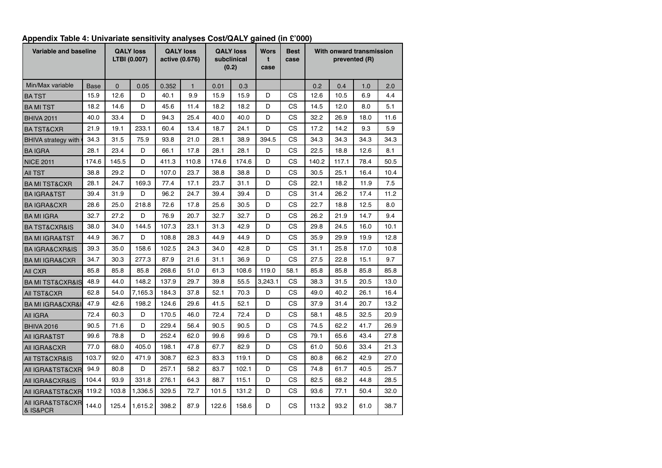| Variable and baseline           |             |          | <b>QALY loss</b><br>LTBI (0.007) |       | <b>QALY loss</b><br>active (0.676) |       | <b>QALY loss</b><br>subclinical<br>(0.2) | <b>Wors</b><br>t<br>case | <b>Best</b><br>case |       |       | With onward transmission<br>prevented (R) |      |
|---------------------------------|-------------|----------|----------------------------------|-------|------------------------------------|-------|------------------------------------------|--------------------------|---------------------|-------|-------|-------------------------------------------|------|
| Min/Max variable                | <b>Base</b> | $\Omega$ | 0.05                             | 0.352 | $\mathbf{1}$                       | 0.01  | 0.3                                      |                          |                     | 0.2   | 0.4   | 1.0                                       | 2.0  |
| <b>BATST</b>                    | 15.9        | 12.6     | D                                | 40.1  | 9.9                                | 15.9  | 15.9                                     | D                        | СS                  | 12.6  | 10.5  | 6.9                                       | 4.4  |
| <b>BA MI TST</b>                | 18.2        | 14.6     | D                                | 45.6  | 11.4                               | 18.2  | 18.2                                     | D                        | СS                  | 14.5  | 12.0  | 8.0                                       | 5.1  |
| <b>BHIVA 2011</b>               | 40.0        | 33.4     | D                                | 94.3  | 25.4                               | 40.0  | 40.0                                     | D                        | СS                  | 32.2  | 26.9  | 18.0                                      | 11.6 |
| <b>BATST&amp;CXR</b>            | 21.9        | 19.1     | 233.1                            | 60.4  | 13.4                               | 18.7  | 24.1                                     | D                        | СS                  | 17.2  | 14.2  | 9.3                                       | 5.9  |
| <b>BHIVA strategy with</b>      | 34.3        | 31.5     | 75.9                             | 93.8  | 21.0                               | 28.1  | 38.9                                     | 394.5                    | СS                  | 34.3  | 34.3  | 34.3                                      | 34.3 |
| <b>BA IGRA</b>                  | 28.1        | 23.4     | D                                | 66.1  | 17.8                               | 28.1  | 28.1                                     | D                        | СS                  | 22.5  | 18.8  | 12.6                                      | 8.1  |
| <b>NICE 2011</b>                | 174.6       | 145.5    | D                                | 411.3 | 110.8                              | 174.6 | 174.6                                    | D                        | СS                  | 140.2 | 117.1 | 78.4                                      | 50.5 |
| AII TST                         | 38.8        | 29.2     | D                                | 107.0 | 23.7                               | 38.8  | 38.8                                     | D                        | СS                  | 30.5  | 25.1  | 16.4                                      | 10.4 |
| <b>BA MI TST&amp;CXR</b>        | 28.1        | 24.7     | 169.3                            | 77.4  | 17.1                               | 23.7  | 31.1                                     | D                        | СS                  | 22.1  | 18.2  | 11.9                                      | 7.5  |
| <b>BA IGRA&amp;TST</b>          | 39.4        | 31.9     | D                                | 96.2  | 24.7                               | 39.4  | 39.4                                     | D                        | СS                  | 31.4  | 26.2  | 17.4                                      | 11.2 |
| <b>BAIGRA&amp;CXR</b>           | 28.6        | 25.0     | 218.8                            | 72.6  | 17.8                               | 25.6  | 30.5                                     | D                        | СS                  | 22.7  | 18.8  | 12.5                                      | 8.0  |
| <b>BAMI IGRA</b>                | 32.7        | 27.2     | D                                | 76.9  | 20.7                               | 32.7  | 32.7                                     | D                        | СS                  | 26.2  | 21.9  | 14.7                                      | 9.4  |
| <b>BATST&amp;CXR&amp;IS</b>     | 38.0        | 34.0     | 144.5                            | 107.3 | 23.1                               | 31.3  | 42.9                                     | D                        | СS                  | 29.8  | 24.5  | 16.0                                      | 10.1 |
| BA MI IGRA&TST                  | 44.9        | 36.7     | D                                | 108.8 | 28.3                               | 44.9  | 44.9                                     | D                        | СS                  | 35.9  | 29.9  | 19.9                                      | 12.8 |
| <b>BA IGRA&amp;CXR&amp;IS</b>   | 39.3        | 35.0     | 158.6                            | 102.5 | 24.3                               | 34.0  | 42.8                                     | D                        | СS                  | 31.1  | 25.8  | 17.0                                      | 10.8 |
| <b>BA MI IGRA&amp;CXR</b>       | 34.7        | 30.3     | 277.3                            | 87.9  | 21.6                               | 31.1  | 36.9                                     | D                        | СS                  | 27.5  | 22.8  | 15.1                                      | 9.7  |
| All CXR                         | 85.8        | 85.8     | 85.8                             | 268.6 | 51.0                               | 61.3  | 108.6                                    | 119.0                    | 58.1                | 85.8  | 85.8  | 85.8                                      | 85.8 |
| <b>BA MI TST&amp;CXR&amp;IS</b> | 48.9        | 44.0     | 148.2                            | 137.9 | 29.7                               | 39.8  | 55.5                                     | 3,243.1                  | СS                  | 38.3  | 31.5  | 20.5                                      | 13.0 |
| AII TST&CXR                     | 62.8        | 54.0     | 7,165.3                          | 184.3 | 37.8                               | 52.1  | 70.3                                     | D                        | СS                  | 49.0  | 40.2  | 26.1                                      | 16.4 |
| <b>BA MI IGRA&amp;CXR&amp;I</b> | 47.9        | 42.6     | 198.2                            | 124.6 | 29.6                               | 41.5  | 52.1                                     | D                        | СS                  | 37.9  | 31.4  | 20.7                                      | 13.2 |
| AII IGRA                        | 72.4        | 60.3     | D                                | 170.5 | 46.0                               | 72.4  | 72.4                                     | D                        | <b>CS</b>           | 58.1  | 48.5  | 32.5                                      | 20.9 |
| <b>BHIVA 2016</b>               | 90.5        | 71.6     | D                                | 229.4 | 56.4                               | 90.5  | 90.5                                     | D                        | СS                  | 74.5  | 62.2  | 41.7                                      | 26.9 |
| AII IGRA&TST                    | 99.6        | 78.8     | D                                | 252.4 | 62.0                               | 99.6  | 99.6                                     | D                        | СS                  | 79.1  | 65.6  | 43.4                                      | 27.8 |
| AII IGRA&CXR                    | 77.0        | 68.0     | 405.0                            | 198.1 | 47.8                               | 67.7  | 82.9                                     | D                        | СS                  | 61.0  | 50.6  | 33.4                                      | 21.3 |
| AII TST&CXR&IS                  | 103.7       | 92.0     | 471.9                            | 308.7 | 62.3                               | 83.3  | 119.1                                    | D                        | СS                  | 80.8  | 66.2  | 42.9                                      | 27.0 |
| AII IGRA&TST&CXR                | 94.9        | 80.8     | D                                | 257.1 | 58.2                               | 83.7  | 102.1                                    | D                        | СS                  | 74.8  | 61.7  | 40.5                                      | 25.7 |
| AII IGRA&CXR&IS                 | 104.4       | 93.9     | 331.8                            | 276.1 | 64.3                               | 88.7  | 115.1                                    | D                        | СS                  | 82.5  | 68.2  | 44.8                                      | 28.5 |
| AII IGRA&TST&CXR                | 119.2       | 103.8    | 1,336.5                          | 329.5 | 72.7                               | 101.5 | 131.2                                    | D                        | CS                  | 93.6  | 77.1  | 50.4                                      | 32.0 |
| AII IGRA&TST&CXR<br>& IS&PCR    | 144.0       | 125.4    | 1,615.2                          | 398.2 | 87.9                               | 122.6 | 158.6                                    | D                        | СS                  | 113.2 | 93.2  | 61.0                                      | 38.7 |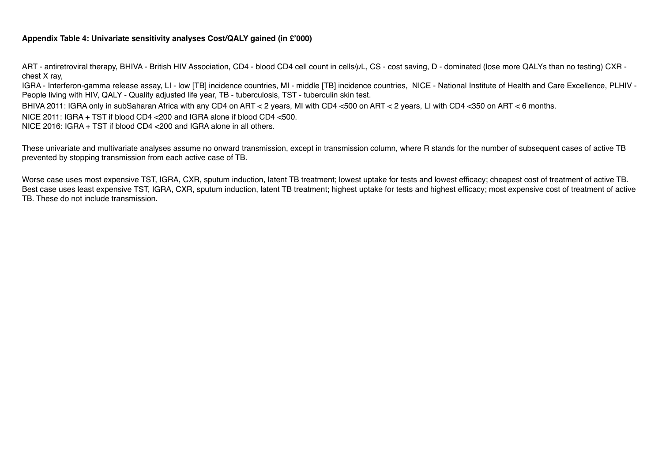#### **Appendix Table 4: Univariate sensitivity analyses Cost/QALY gained (in £'000)**

ART - antiretroviral therapy, BHIVA - British HIV Association, CD4 - blood CD4 cell count in cells/ $\mu$ L, CS - cost saving, D - dominated (lose more QALYs than no testing) CXR chest X ray,

IGRA - Interferon-gamma release assay, LI - low [TB] incidence countries, MI - middle [TB] incidence countries, NICE - National Institute of Health and Care Excellence, PLHIV - People living with HIV, QALY - Quality adjusted life year, TB - tuberculosis, TST - tuberculin skin test.

BHIVA 2011: IGRA only in subSaharan Africa with any CD4 on ART < 2 years, MI with CD4 <500 on ART < 2 years, LI with CD4 <350 on ART < 6 months.

NICE 2011: IGRA + TST if blood CD4 <200 and IGRA alone if blood CD4 <500.

NICE 2016: IGRA + TST if blood CD4 <200 and IGRA alone in all others.

These univariate and multivariate analyses assume no onward transmission, except in transmission column, where R stands for the number of subsequent cases of active TB prevented by stopping transmission from each active case of TB.

Worse case uses most expensive TST, IGRA, CXR, sputum induction, latent TB treatment; lowest uptake for tests and lowest efficacy; cheapest cost of treatment of active TB. Best case uses least expensive TST, IGRA, CXR, sputum induction, latent TB treatment; highest uptake for tests and highest efficacy; most expensive cost of treatment of active TB. These do not include transmission.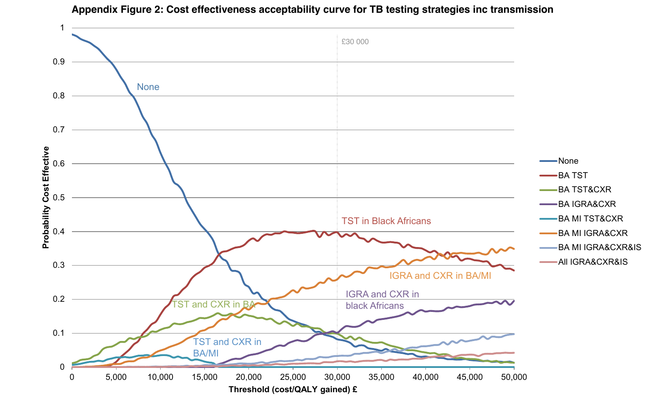

#### **Appendix Figure 2: Cost effectiveness acceptability curve for TB testing strategies inc transmission**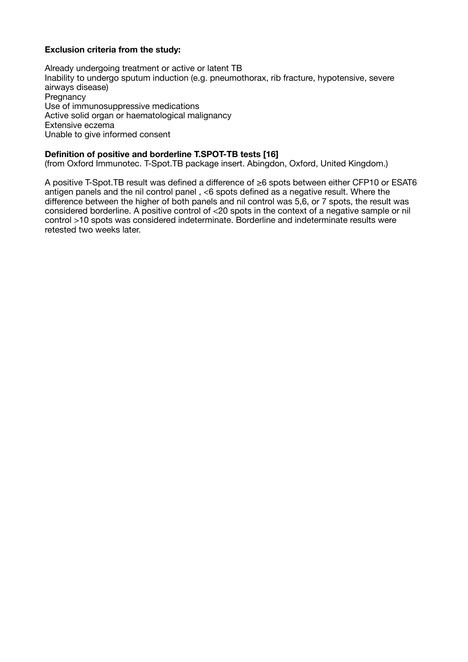### **Exclusion criteria from the study:**

Already undergoing treatment or active or latent TB Inability to undergo sputum induction (e.g. pneumothorax, rib fracture, hypotensive, severe airways disease) **Pregnancy** Use of immunosuppressive medications Active solid organ or haematological malignancy Extensive eczema Unable to give informed consent

### **Definition of positive and borderline T.SPOT-TB tests [16]**

(from Oxford Immunotec. T-Spot.TB package insert. Abingdon, Oxford, United Kingdom.)

A positive T-Spot.TB result was defined a difference of ≥6 spots between either CFP10 or ESAT6 antigen panels and the nil control panel , <6 spots defined as a negative result. Where the difference between the higher of both panels and nil control was 5,6, or 7 spots, the result was considered borderline. A positive control of <20 spots in the context of a negative sample or nil control >10 spots was considered indeterminate. Borderline and indeterminate results were retested two weeks later.